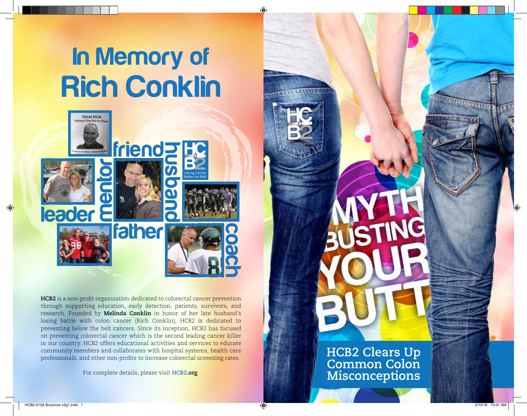# In Memory of **Rich Conklin**



**HCB2** is a non-profit organization dedicated to colorectal cancer prevention through supporting education, early detection, patients, survivors, and research. Founded by **Melinda Conklin** in honor of her late husband's losing battle with colon cancer (Rich Conklin), HCB2 is dedicated to preventing below the belt cancers. Since its inception, HCB2 has focused on preventing colorectal cancer which is the second leading cancer killer in our country. HCB2 offers educational activities and services to educate community members and collaborates with hospital systems, health care professionals, and other non-profits to increase colorectal screening rates.

For complete details, please visit **HCB2.org** .

**HCB2 Clears Up Common Colon Misconceptions**

HCB2-013A Brochure v2g1.indd 1 2/10/16 10:31 AM

 $\bigoplus$ 

⊕